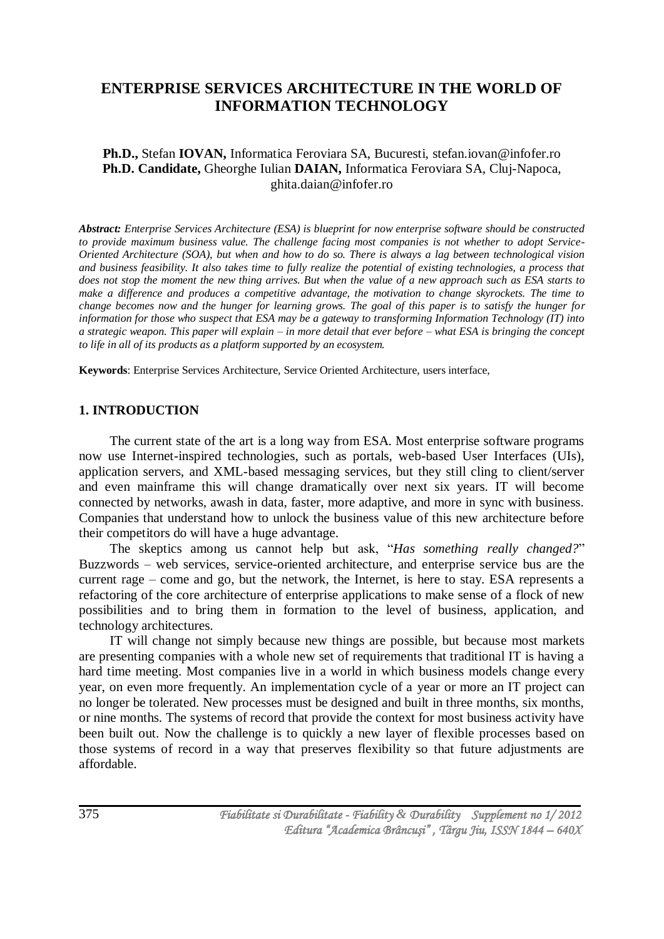# **ENTERPRISE SERVICES ARCHITECTURE IN THE WORLD OF INFORMATION TECHNOLOGY**

#### **Ph.D.,** Stefan **IOVAN,** Informatica Feroviara SA, Bucuresti, [stefan.iovan@infofer.ro](mailto:stefan.iovan@infofer.ro) **Ph.D. Candidate,** Gheorghe Iulian **DAIAN,** Informatica Feroviara SA, Cluj-Napoca, [ghita.daian@infofer.ro](mailto:ghita.daian@infofer.ro)

*Abstract: Enterprise Services Architecture (ESA) is blueprint for now enterprise software should be constructed to provide maximum business value. The challenge facing most companies is not whether to adopt Service-Oriented Architecture (SOA), but when and how to do so. There is always a lag between technological vision and business feasibility. It also takes time to fully realize the potential of existing technologies, a process that does not stop the moment the new thing arrives. But when the value of a new approach such as ESA starts to make a difference and produces a competitive advantage, the motivation to change skyrockets. The time to change becomes now and the hunger for learning grows. The goal of this paper is to satisfy the hunger for information for those who suspect that ESA may be a gateway to transforming Information Technology (IT) into a strategic weapon. This paper will explain – in more detail that ever before – what ESA is bringing the concept to life in all of its products as a platform supported by an ecosystem.*

**Keywords**: Enterprise Services Architecture, Service Oriented Architecture, users interface,

#### **1. INTRODUCTION**

The current state of the art is a long way from ESA. Most enterprise software programs now use Internet-inspired technologies, such as portals, web-based User Interfaces (UIs), application servers, and XML-based messaging services, but they still cling to client/server and even mainframe this will change dramatically over next six years. IT will become connected by networks, awash in data, faster, more adaptive, and more in sync with business. Companies that understand how to unlock the business value of this new architecture before their competitors do will have a huge advantage.

The skeptics among us cannot help but ask, "*Has something really changed?*" Buzzwords – web services, service-oriented architecture, and enterprise service bus are the current rage – come and go, but the network, the Internet, is here to stay. ESA represents a refactoring of the core architecture of enterprise applications to make sense of a flock of new possibilities and to bring them in formation to the level of business, application, and technology architectures.

IT will change not simply because new things are possible, but because most markets are presenting companies with a whole new set of requirements that traditional IT is having a hard time meeting. Most companies live in a world in which business models change every year, on even more frequently. An implementation cycle of a year or more an IT project can no longer be tolerated. New processes must be designed and built in three months, six months, or nine months. The systems of record that provide the context for most business activity have been built out. Now the challenge is to quickly a new layer of flexible processes based on those systems of record in a way that preserves flexibility so that future adjustments are affordable.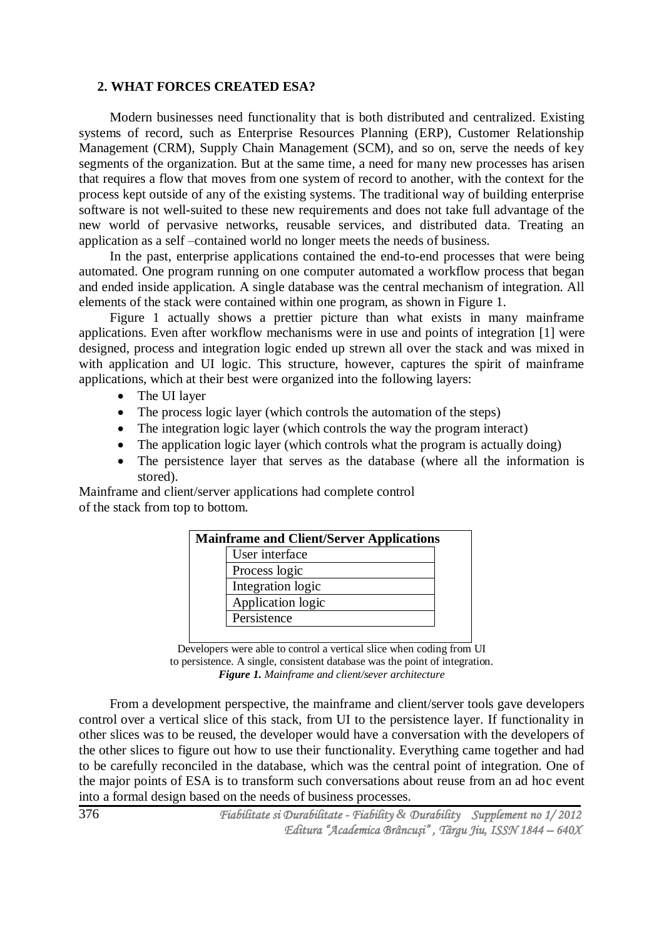#### **2. WHAT FORCES CREATED ESA?**

Modern businesses need functionality that is both distributed and centralized. Existing systems of record, such as Enterprise Resources Planning (ERP), Customer Relationship Management (CRM), Supply Chain Management (SCM), and so on, serve the needs of key segments of the organization. But at the same time, a need for many new processes has arisen that requires a flow that moves from one system of record to another, with the context for the process kept outside of any of the existing systems. The traditional way of building enterprise software is not well-suited to these new requirements and does not take full advantage of the new world of pervasive networks, reusable services, and distributed data. Treating an application as a self –contained world no longer meets the needs of business.

In the past, enterprise applications contained the end-to-end processes that were being automated. One program running on one computer automated a workflow process that began and ended inside application. A single database was the central mechanism of integration. All elements of the stack were contained within one program, as shown in Figure 1.

Figure 1 actually shows a prettier picture than what exists in many mainframe applications. Even after workflow mechanisms were in use and points of integration [1] were designed, process and integration logic ended up strewn all over the stack and was mixed in with application and UI logic. This structure, however, captures the spirit of mainframe applications, which at their best were organized into the following layers:

- The UI laver
- The process logic layer (which controls the automation of the steps)
- The integration logic layer (which controls the way the program interact)
- The application logic layer (which controls what the program is actually doing)
- The persistence layer that serves as the database (where all the information is stored).

Mainframe and client/server applications had complete control of the stack from top to bottom.

| <b>Mainframe and Client/Server Applications</b> |                   |  |
|-------------------------------------------------|-------------------|--|
|                                                 | User interface    |  |
|                                                 | Process logic     |  |
|                                                 | Integration logic |  |
|                                                 | Application logic |  |
|                                                 | Persistence       |  |
|                                                 |                   |  |

Developers were able to control a vertical slice when coding from UI to persistence. A single, consistent database was the point of integration. *Figure 1. Mainframe and client/sever architecture*

From a development perspective, the mainframe and client/server tools gave developers control over a vertical slice of this stack, from UI to the persistence layer. If functionality in other slices was to be reused, the developer would have a conversation with the developers of the other slices to figure out how to use their functionality. Everything came together and had to be carefully reconciled in the database, which was the central point of integration. One of the major points of ESA is to transform such conversations about reuse from an ad hoc event into a formal design based on the needs of business processes.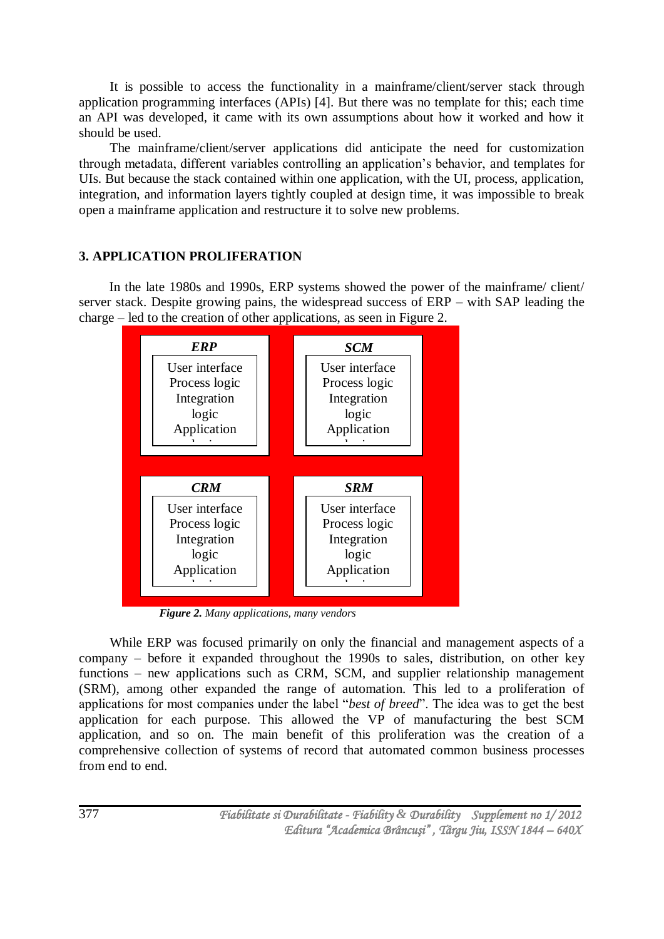It is possible to access the functionality in a mainframe/client/server stack through application programming interfaces (APIs) [4]. But there was no template for this; each time an API was developed, it came with its own assumptions about how it worked and how it should be used.

The mainframe/client/server applications did anticipate the need for customization through metadata, different variables controlling an application's behavior, and templates for UIs. But because the stack contained within one application, with the UI, process, application, integration, and information layers tightly coupled at design time, it was impossible to break open a mainframe application and restructure it to solve new problems.

# **3. APPLICATION PROLIFERATION**

In the late 1980s and 1990s, ERP systems showed the power of the mainframe/ client/ server stack. Despite growing pains, the widespread success of ERP – with SAP leading the charge – led to the creation of other applications, as seen in Figure 2.



*Figure 2. Many applications, many vendors*

While ERP was focused primarily on only the financial and management aspects of a company – before it expanded throughout the 1990s to sales, distribution, on other key functions – new applications such as CRM, SCM, and supplier relationship management (SRM), among other expanded the range of automation. This led to a proliferation of applications for most companies under the label "*best of breed*". The idea was to get the best application for each purpose. This allowed the VP of manufacturing the best SCM application, and so on. The main benefit of this proliferation was the creation of a comprehensive collection of systems of record that automated common business processes from end to end.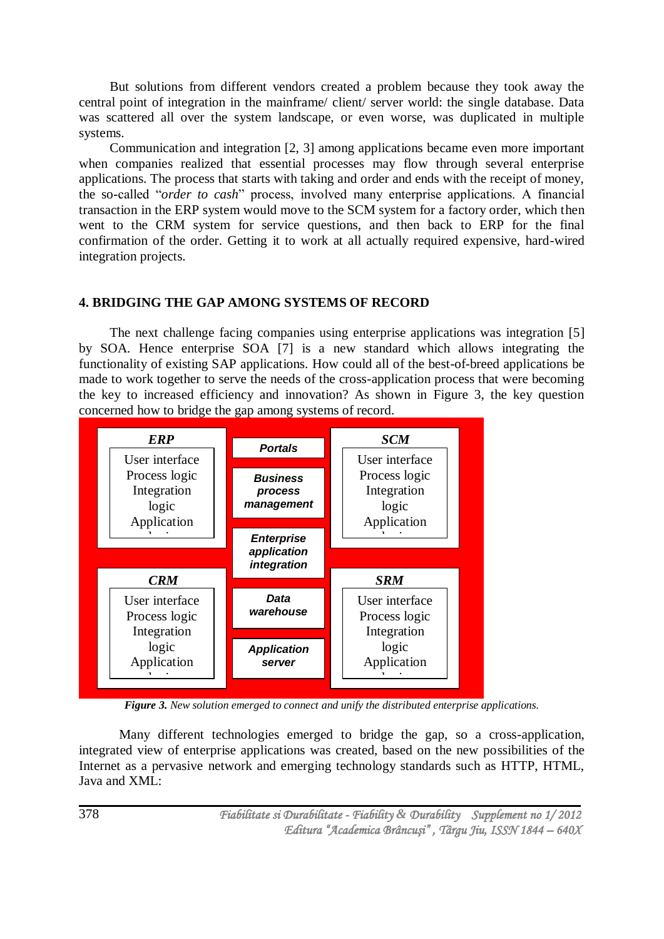But solutions from different vendors created a problem because they took away the central point of integration in the mainframe/ client/ server world: the single database. Data was scattered all over the system landscape, or even worse, was duplicated in multiple systems.

Communication and integration [2, 3] among applications became even more important when companies realized that essential processes may flow through several enterprise applications. The process that starts with taking and order and ends with the receipt of money, the so-called "*order to cash*" process, involved many enterprise applications. A financial transaction in the ERP system would move to the SCM system for a factory order, which then went to the CRM system for service questions, and then back to ERP for the final confirmation of the order. Getting it to work at all actually required expensive, hard-wired integration projects.

# **4. BRIDGING THE GAP AMONG SYSTEMS OF RECORD**

The next challenge facing companies using enterprise applications was integration [5] by SOA. Hence enterprise SOA [7] is a new standard which allows integrating the functionality of existing SAP applications. How could all of the best-of-breed applications be made to work together to serve the needs of the cross-application process that were becoming the key to increased efficiency and innovation? As shown in Figure 3, the key question concerned how to bridge the gap among systems of record.



*Figure 3. New solution emerged to connect and unify the distributed enterprise applications.*

Many different technologies emerged to bridge the gap, so a cross-application, integrated view of enterprise applications was created, based on the new possibilities of the Internet as a pervasive network and emerging technology standards such as HTTP, HTML, Java and XML: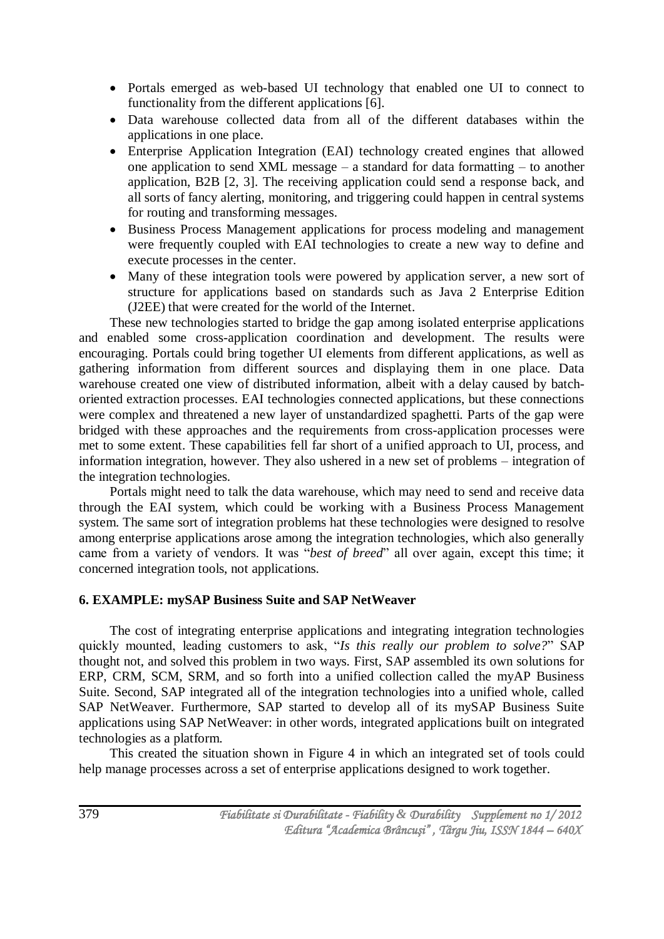- Portals emerged as web-based UI technology that enabled one UI to connect to functionality from the different applications [6].
- Data warehouse collected data from all of the different databases within the applications in one place.
- Enterprise Application Integration (EAI) technology created engines that allowed one application to send XML message – a standard for data formatting – to another application, B2B [2, 3]. The receiving application could send a response back, and all sorts of fancy alerting, monitoring, and triggering could happen in central systems for routing and transforming messages.
- Business Process Management applications for process modeling and management were frequently coupled with EAI technologies to create a new way to define and execute processes in the center.
- Many of these integration tools were powered by application server, a new sort of structure for applications based on standards such as Java 2 Enterprise Edition (J2EE) that were created for the world of the Internet.

These new technologies started to bridge the gap among isolated enterprise applications and enabled some cross-application coordination and development. The results were encouraging. Portals could bring together UI elements from different applications, as well as gathering information from different sources and displaying them in one place. Data warehouse created one view of distributed information, albeit with a delay caused by batchoriented extraction processes. EAI technologies connected applications, but these connections were complex and threatened a new layer of unstandardized spaghetti. Parts of the gap were bridged with these approaches and the requirements from cross-application processes were met to some extent. These capabilities fell far short of a unified approach to UI, process, and information integration, however. They also ushered in a new set of problems – integration of the integration technologies.

Portals might need to talk the data warehouse, which may need to send and receive data through the EAI system, which could be working with a Business Process Management system. The same sort of integration problems hat these technologies were designed to resolve among enterprise applications arose among the integration technologies, which also generally came from a variety of vendors. It was "*best of breed*" all over again, except this time; it concerned integration tools, not applications.

# **6. EXAMPLE: mySAP Business Suite and SAP NetWeaver**

The cost of integrating enterprise applications and integrating integration technologies quickly mounted, leading customers to ask, "*Is this really our problem to solve?*" SAP thought not, and solved this problem in two ways. First, SAP assembled its own solutions for ERP, CRM, SCM, SRM, and so forth into a unified collection called the myAP Business Suite. Second, SAP integrated all of the integration technologies into a unified whole, called SAP NetWeaver. Furthermore, SAP started to develop all of its mySAP Business Suite applications using SAP NetWeaver: in other words, integrated applications built on integrated technologies as a platform.

This created the situation shown in Figure 4 in which an integrated set of tools could help manage processes across a set of enterprise applications designed to work together.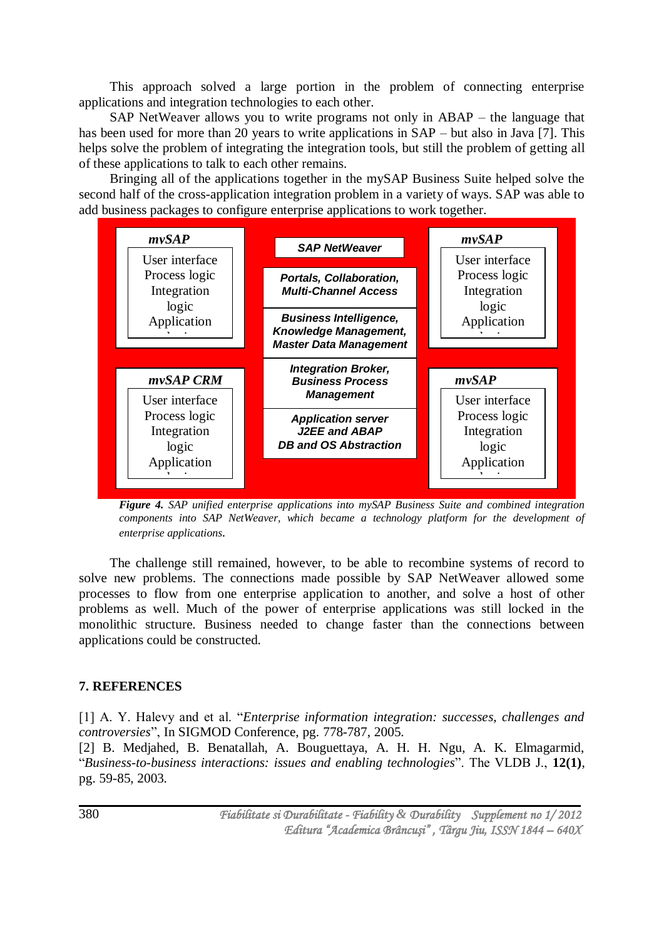This approach solved a large portion in the problem of connecting enterprise applications and integration technologies to each other.

SAP NetWeaver allows you to write programs not only in ABAP – the language that has been used for more than 20 years to write applications in  $SAP - but$  also in Java [7]. This helps solve the problem of integrating the integration tools, but still the problem of getting all of these applications to talk to each other remains.

Bringing all of the applications together in the mySAP Business Suite helped solve the second half of the cross-application integration problem in a variety of ways. SAP was able to add business packages to configure enterprise applications to work together.



*Figure 4. SAP unified enterprise applications into mySAP Business Suite and combined integration components into SAP NetWeaver, which became a technology platform for the development of enterprise applications.*

The challenge still remained, however, to be able to recombine systems of record to solve new problems. The connections made possible by SAP NetWeaver allowed some processes to flow from one enterprise application to another, and solve a host of other problems as well. Much of the power of enterprise applications was still locked in the monolithic structure. Business needed to change faster than the connections between applications could be constructed.

# **7. REFERENCES**

[1] A. Y. Halevy and et al. "*Enterprise information integration: successes, challenges and controversies*", In SIGMOD Conference, pg. 778-787, 2005. [2] B. Medjahed, B. Benatallah, A. Bouguettaya, A. H. H. Ngu, A. K. Elmagarmid, "*Business-to-business interactions: issues and enabling technologies*". The VLDB J., **12(1)**, pg. 59-85, 2003.